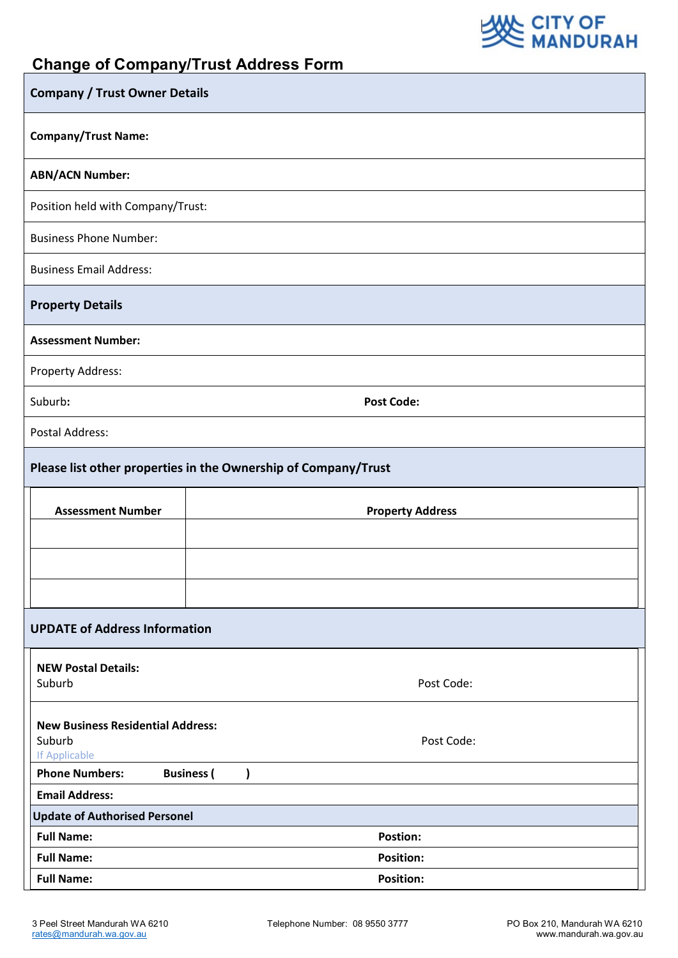

## **Change of Company/Trust Address Form**

| <b>Company / Trust Owner Details</b>                           |                         |  |
|----------------------------------------------------------------|-------------------------|--|
| <b>Company/Trust Name:</b>                                     |                         |  |
| <b>ABN/ACN Number:</b>                                         |                         |  |
| Position held with Company/Trust:                              |                         |  |
| <b>Business Phone Number:</b>                                  |                         |  |
| <b>Business Email Address:</b>                                 |                         |  |
| <b>Property Details</b>                                        |                         |  |
| <b>Assessment Number:</b>                                      |                         |  |
| Property Address:                                              |                         |  |
| Suburb:                                                        | <b>Post Code:</b>       |  |
| <b>Postal Address:</b>                                         |                         |  |
| Please list other properties in the Ownership of Company/Trust |                         |  |
| <b>Assessment Number</b>                                       | <b>Property Address</b> |  |
|                                                                |                         |  |
|                                                                |                         |  |
|                                                                |                         |  |
| <b>UPDATE of Address Information</b>                           |                         |  |
| <b>NEW Postal Details:</b>                                     |                         |  |
| Suburb                                                         | Post Code:              |  |
| <b>New Business Residential Address:</b>                       |                         |  |
| Suburb<br>If Applicable                                        | Post Code:              |  |
| <b>Phone Numbers:</b><br><b>Business</b> (<br>)                |                         |  |
| <b>Email Address:</b>                                          |                         |  |
| <b>Update of Authorised Personel</b>                           |                         |  |
| <b>Full Name:</b><br><b>Postion:</b>                           |                         |  |
| <b>Full Name:</b><br><b>Position:</b>                          |                         |  |
| <b>Full Name:</b>                                              | <b>Position:</b>        |  |